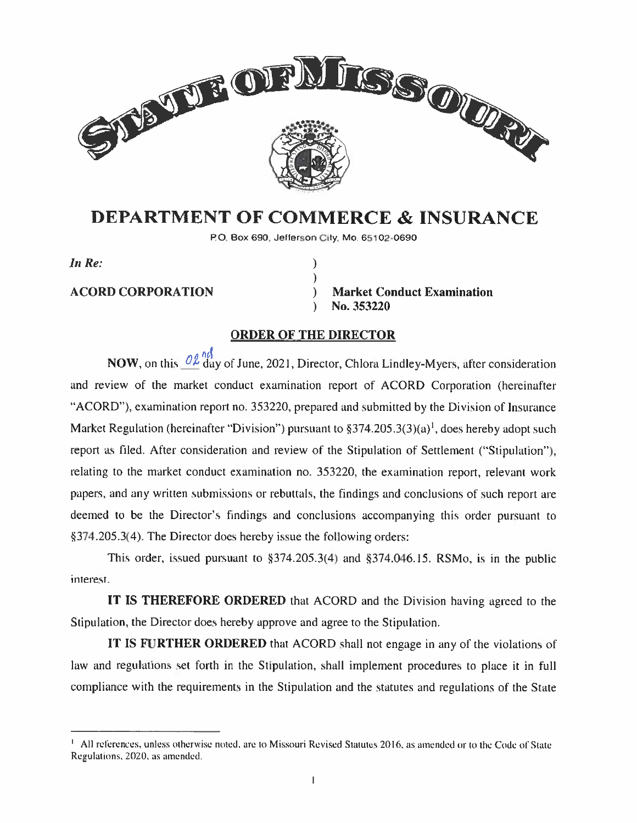

# DEPARTMENT OF COMMERCE & INSURANCE

P0. Box 690, Jefferson Cily. Mo. 65102-0690

 $\lambda$  $\mathcal{E}$ 

In Re:

ACORD CORPORATION ) Market Conduct Examination No. 353220

#### ORDER OF THE DIRECTOR

 $\lambda$ 

NOW, on this  $\frac{\partial \ell}{\partial \alpha}$  day of June, 2021, Director, Chlora Lindley-Myers, after consideration and review of the market conduct examination repor<sup>t</sup> of ACORD Corporation (hereinafter "ACORD"), examination report no. 353220, prepared and submitted by the Division of Insurance Market Regulation (hereinafter "Division") pursuant to  $\S 374.205.3(3)(a)^1$ , does hereby adopt such report as filed. After consideration and review of the Stipulation of Settlement ("Stipulation"), relating to the market conduct examination no. 353220, the examination report, relevant work papers, and any written submissions or rebuttals, the findings and conclusions of such repor<sup>t</sup> are deemed to be the Director's findings and conclusions accompanying this order pursuan<sup>t</sup> to §374.205.3(4). The Director does hereby issue the following orders:

This order, issued pursuant to  $\S 374.205.3(4)$  and  $\S 374.046.15$ . RSMo, is in the public interest.

IT IS THEREFORE ORDERED that ACORD and the Division having agreed to the Stipulation. the Director does hereby approve and agree to the Stipulation.

IT IS FURTHER ORDERED that ACORD shall not engage in any of the violations of law and regulations set forth in the Stipulation, shall implement procedures to place it in full compliance with the requirements in the Stipulation and the statutes and regulations of the State

All references, unless otherwise noted, are to Missouri Revised Statutes 2016, as amended or to the Code of State Regulations. 2020. as amended.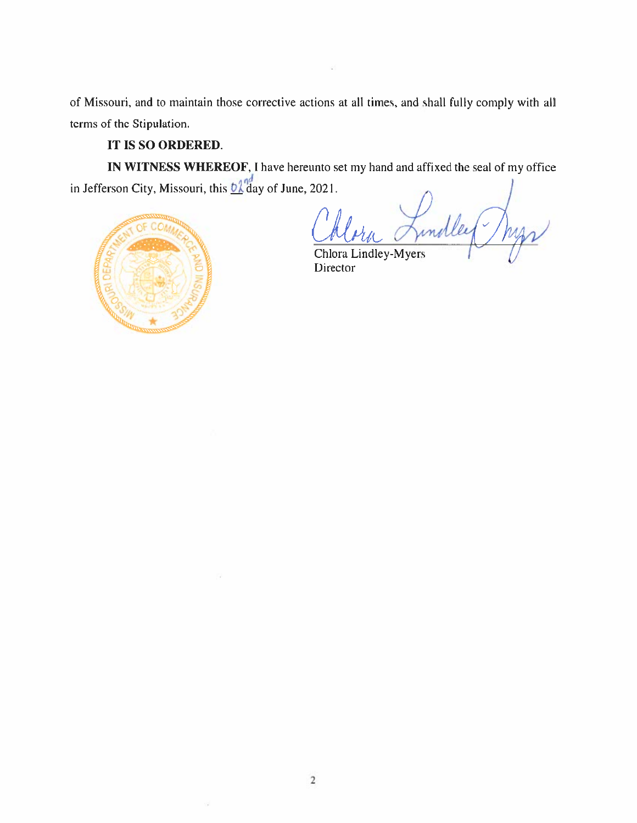of Missouri, and to maintain those corrective actions at all times, and shall fully comply with all terms of the Stipulation.

## IT IS SO ORDERED.

IN WITNESS WHEREOF, I have hereunto set my hand and affixed the seal of my office in Jefferson City, Missouri, this  $\frac{6\lambda}{\lambda}$ day of June, 2021.

Lindley Mys  $\mathcal{C}$ k I'

Chlora Lindley-Myers Director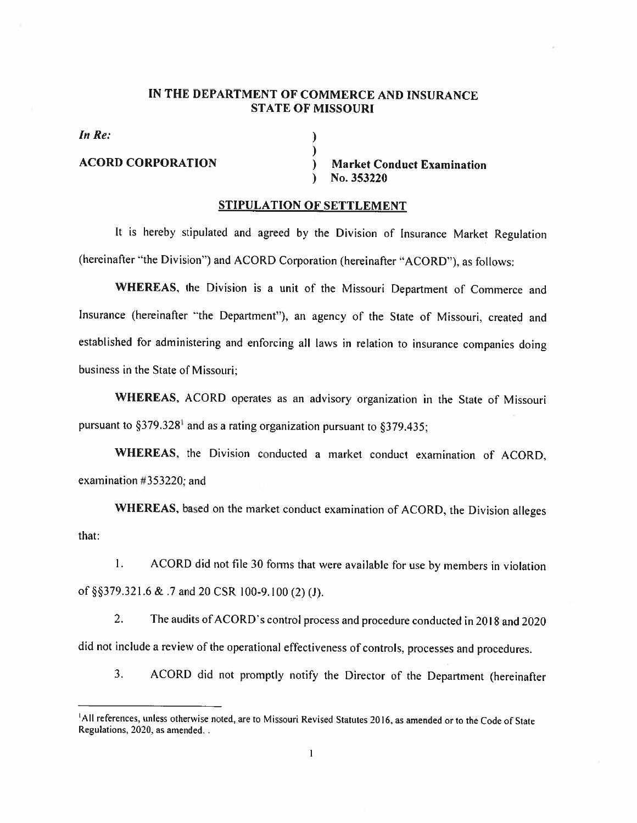#### IN THE DEPARTMENT OF COMMERCE AND INSURANCE STATE OF MISSOURI

)

In Re:  $\left( \begin{array}{ccc} 1 & 0 & 0 & 0 \\ 0 & 1 & 0 & 0 \\ 0 & 0 & 0 & 0 \\ 0 & 0 & 0 & 0 \\ 0 & 0 & 0 & 0 \\ 0 & 0 & 0 & 0 \\ 0 & 0 & 0 & 0 \\ 0 & 0 & 0 & 0 \\ 0 & 0 & 0 & 0 \\ 0 & 0 & 0 & 0 \\ 0 & 0 & 0 & 0 & 0 \\ 0 & 0 & 0 & 0 & 0 \\ 0 & 0 & 0 & 0 & 0 \\ 0 & 0 & 0 & 0 & 0 \\ 0 & 0 & 0 & 0 & 0 \\ 0 & 0 & 0$ 

ACORD CORPORATION ) Market Conduct Examination No. 353220  $\mathcal{L}$ 

#### STIPULATION OF SETTLEMENT

It is hereby stipulated and agreed by the Division of Insurance Market Regulation (hereinafter "the Division") and ACORD Corporation (hereinafter "ACORD"), as follows:

WHEREAS. the Division is <sup>a</sup> unit of the Missouri Department of Commerce and Insurance (hereinafter "the Department"). an agency of the State of Missouri, created and established for administering and enforcing all laws in relation to insurance companies doing business in the State of Missouri:

WHEREAS, ACORD operates as an advisory organization in the State of Missouri pursuant to  $§379.328<sup>1</sup>$  and as a rating organization pursuant to  $§379.435$ ;

WHEREAS. the Division conducted <sup>a</sup> market conduct examination of ACORD. examination #353220: and

WHEREAS, based on the market conduct examination of ACORD, the Division alleges that:

 $\mathbf{1}$ . ACORD did not tile <sup>30</sup> forms that were available for use by members in violation of §§379.321.6 & .7 and 20 CSR 100-9.100 (2) (J).

2. The audits of ACORD's control process and procedure conducted in 2018 and 2020 did not include <sup>a</sup> review of the operational effectiveness of controls. processes and procedures.

3. ACORD did not promptly notify the Director of the Department (hereinafter

<sup>&</sup>lt;sup>1</sup>All references, unless otherwise noted, are to Missouri Revised Statutes 2016, as amended or to the Code of State Regulations. 2020, as amended.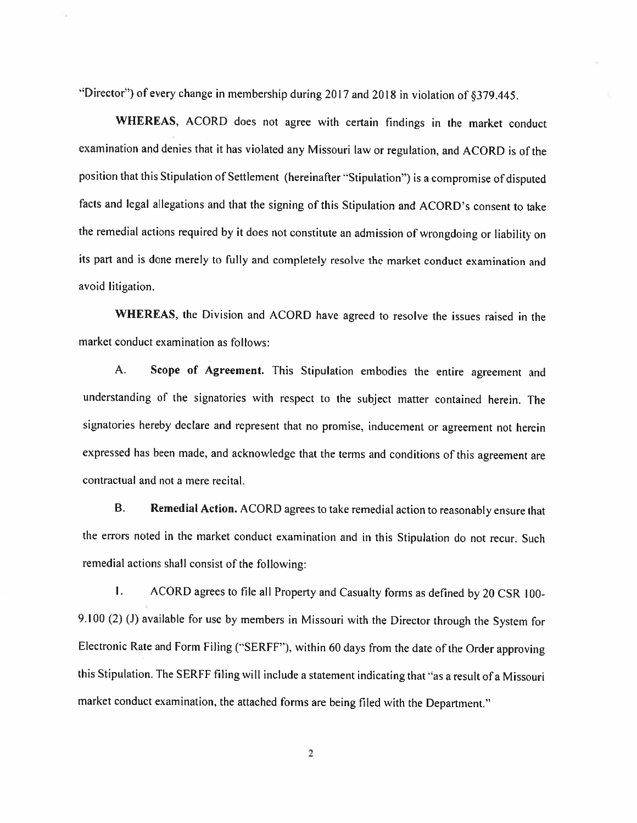"Director") of every change in membership during 2017 and 2018 in violation of  $\S 379.445$ .

WHEREAS, ACORD does not agree with certain findings in the market conduct examination and denies that it has violated any Missouri law or regulation, and ACORD is of the position that this Stipulation of Settlement (hereinafter "Stipulation") is a compromise of disputed facts and legal allegations and that the signing of this Stipulation and ACORD's consent to take the remedial actions required by it does not constitute an admission of wrongdoing or liability on its part and is done merely to fully and completely resolve the market conduct examination and avoid litigation.

WHEREAS. the Division and ACORD have agreed to resolve the issues raised in the market conduct examination as follows:

A. Scope of Agreement. This Stipulation embodies the entire agreement and understanding of the signatories with respect to the subject matter contained herein. The signatories hereby declare and represent that no promise. inducement or agreement not herein expressed has been made, and acknowledge that the terms and conditions of this agreement are contractual and not <sup>a</sup> mere recital.

B. Remedial Action. ACORD agrees to take remedial action to reasonably ensure that the errors noted in the market conduct examination and in this Stipulation do not recur. Such remedial actions shall consist of the following:

I. ACORD agrees to file all Property and Casualty forms as defined by <sup>20</sup> CSR 100- 9.100 (2) (J) available for use by members in Missouri with the Director through the System for Electronic Rate and Form Filing ("SERFF"), within 60 days from the date of the Order approving this Stipulation. The SERFF filing will include a statement indicating that "as a result of a Missouri market conduct examination, the attached forms are being filed with the Department."

2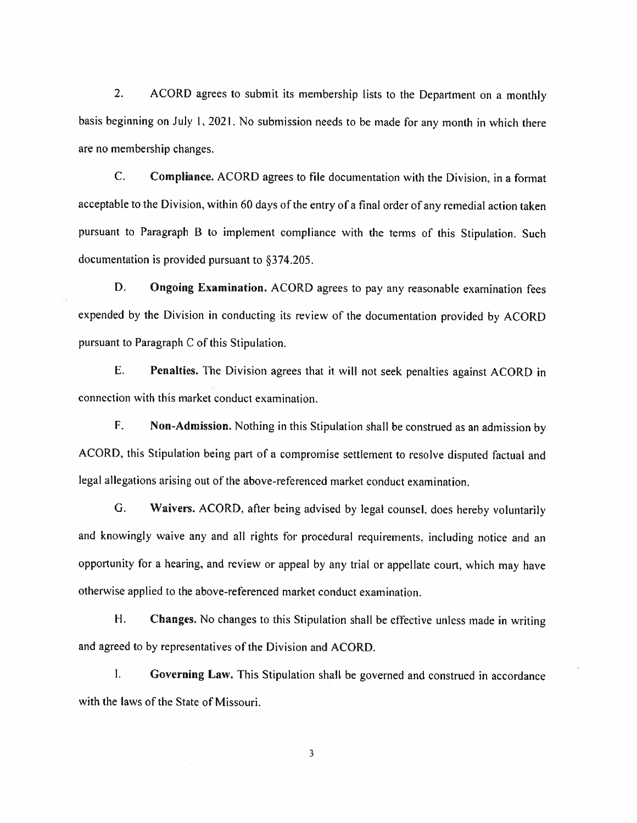2. ACORD agrees to submit its membership lists to the Department on a monthly basis beginning on July 1. 2021. No submission needs to be made for any month in which there are no membership changes.

C. Compliance. ACORD agrees to file documentation with the Division. in <sup>a</sup> format acceptable to the Division, within 60 days of the entry of a final order of any remedial action taken pursuant to Paragraph <sup>B</sup> to implement compliance with the terms of this Stipulation. Such documentation is provided pursuant to §374.205.

D. Ongoing Examination. ACORD agrees to pay any reasonable examination fees expended by the Division in conducting its review of the documentation provided by ACORD pursuant to Paragraph C of this Stipulation.

E. Penalties. The Division agrees that it will not seek penalties against ACORD in connection with this market conduct examination.

F. Non—Admission. Nothing in this Stipulation shall be construed as an admission by ACORD. this Stipulation being part of <sup>a</sup> compromise settlement to resolve disputed factual and legal allegations arising out of the above-referenced market conduct examination.

G. Waivers. ACORD. after being advised by legal counsel, does hereby voluntarily and knowingly waive any and all rights for procedural requirements, including notice and an opportunity for a hearing, and review or appeal by any trial or appellate court, which may have otherwise applied to the above-referenced market conduct examination.

H. Changes. No changes to this Stipulation shall be effective unless made in writing and agreed to by representatives of the Division and ACORD.

I. Governing Law. This Stipulation shall be governed and construed in accordance with the laws of the State of Missouri.

3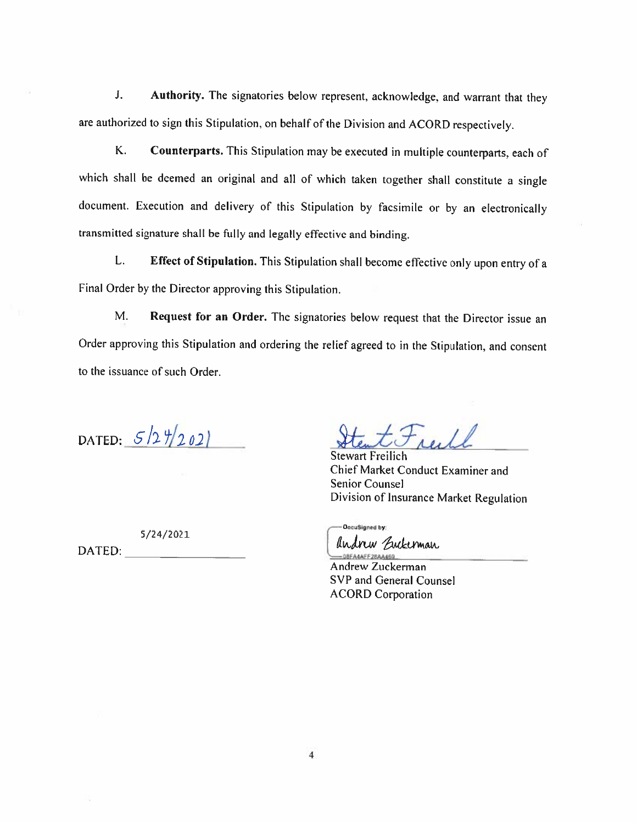J. Authority. The signatories below represent, acknowledge, and warrant that they are authorized to sign this Stipulation. on behalf of the Division and ACORD respectively,

K. Counterparts. This Stipulation may be executed in multiple counterparts, each of which shall be deemed an original and all of which taken together shall constitute <sup>a</sup> single document. Execution and delivery of this Stipulation by facsimile or by an electronically transmitted signature shall be fully and legally effective and binding.

L. Effect of Stipulation. This Stipulation shall become effective only upon entry of a Final Order by the Director approving this Stipulation.

M. Request for an Order. The signatories below request that the Director issue an Order approving this Stipulation and ordering the relief agreed to in the Stipulation, and consent to the issuance of such Order.

DATED:  $5/27/202$ 

Stewart Freilich Chief Market Conduct Examiner and Senior Counsel Division of Insurance Market Regulation

— DocuSigned by: Andrew Euckerman -08FA4AFF28A4469

Andrew Zuckerman SVP and General Counsel ACORD Corporation

5/24/2021

DATED: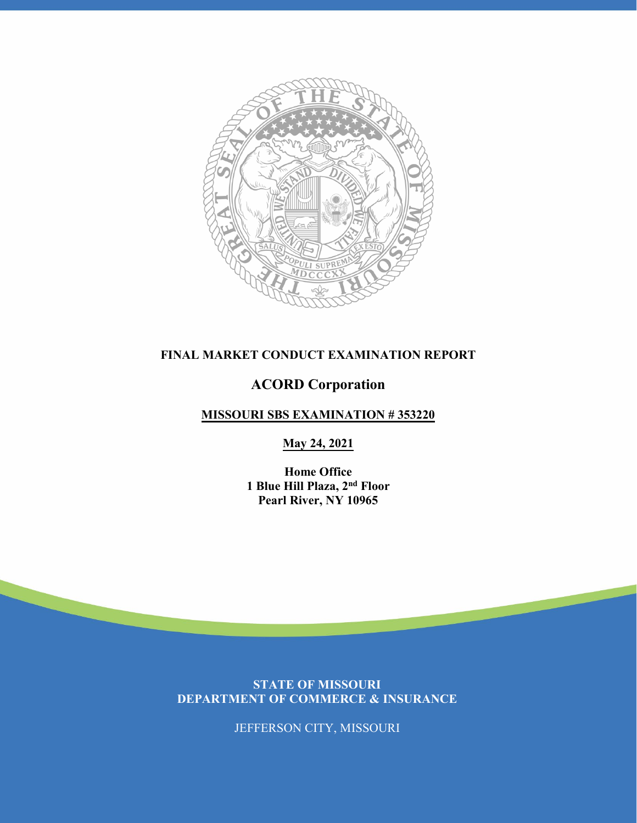

## **FINAL MARKET CONDUCT EXAMINATION REPORT**

## **ACORD Corporation**

### **MISSOURI SBS EXAMINATION # 353220**

#### **May 24, 2021**

**Home Office 1 Blue Hill Plaza, 2nd Floor Pearl River, NY 10965** 

**STATE OF MISSOURI DEPARTMENT OF COMMERCE & INSURANCE**

JEFFERSON CITY, MISSOURI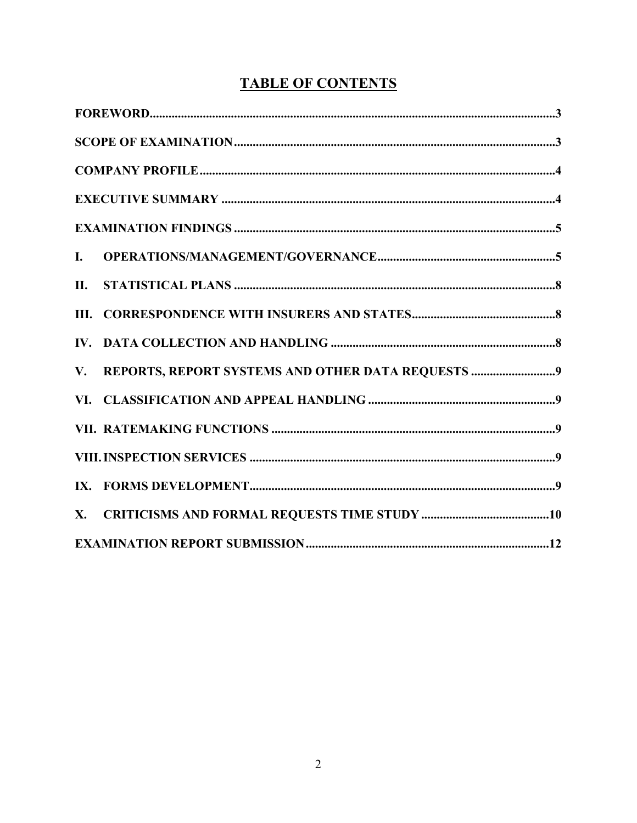| $\mathbf{I}$ .                                          |  |
|---------------------------------------------------------|--|
| II.                                                     |  |
|                                                         |  |
|                                                         |  |
| REPORTS, REPORT SYSTEMS AND OTHER DATA REQUESTS 9<br>V. |  |
|                                                         |  |
|                                                         |  |
|                                                         |  |
|                                                         |  |
|                                                         |  |
|                                                         |  |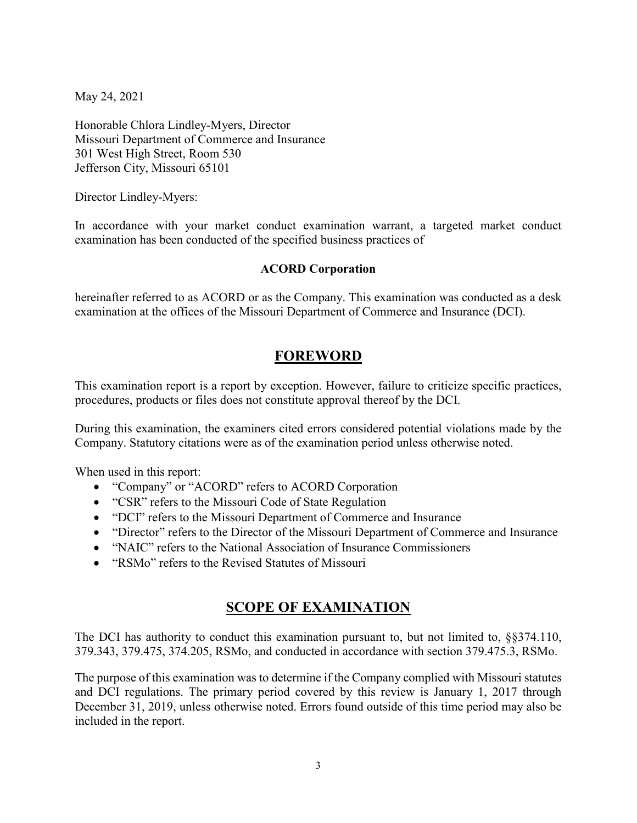May 24, 2021

Honorable Chlora Lindley-Myers, Director Missouri Department of Commerce and Insurance 301 West High Street, Room 530 Jefferson City, Missouri 65101

Director Lindley-Myers:

In accordance with your market conduct examination warrant, a targeted market conduct examination has been conducted of the specified business practices of

#### **ACORD Corporation**

hereinafter referred to as ACORD or as the Company. This examination was conducted as a desk examination at the offices of the Missouri Department of Commerce and Insurance (DCI).

## **FOREWORD**

This examination report is a report by exception. However, failure to criticize specific practices, procedures, products or files does not constitute approval thereof by the DCI.

During this examination, the examiners cited errors considered potential violations made by the Company. Statutory citations were as of the examination period unless otherwise noted.

When used in this report:

- "Company" or "ACORD" refers to ACORD Corporation
- "CSR" refers to the Missouri Code of State Regulation
- "DCI" refers to the Missouri Department of Commerce and Insurance
- "Director" refers to the Director of the Missouri Department of Commerce and Insurance
- "NAIC" refers to the National Association of Insurance Commissioners
- "RSMo" refers to the Revised Statutes of Missouri

## **SCOPE OF EXAMINATION**

The DCI has authority to conduct this examination pursuant to, but not limited to, §§374.110, 379.343, 379.475, 374.205, RSMo, and conducted in accordance with section 379.475.3, RSMo.

The purpose of this examination was to determine if the Company complied with Missouri statutes and DCI regulations. The primary period covered by this review is January 1, 2017 through December 31, 2019, unless otherwise noted. Errors found outside of this time period may also be included in the report.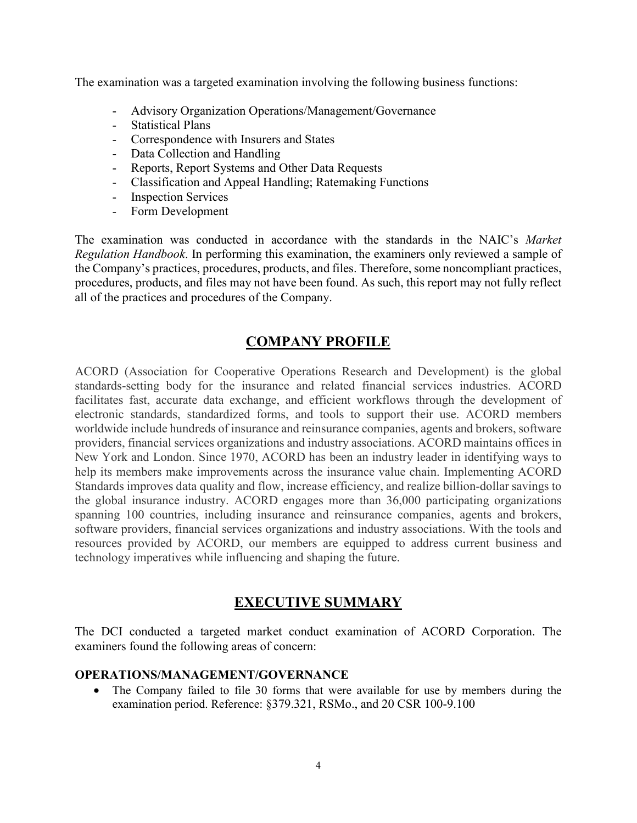The examination was a targeted examination involving the following business functions:

- Advisory Organization Operations/Management/Governance
- Statistical Plans
- Correspondence with Insurers and States
- Data Collection and Handling
- Reports, Report Systems and Other Data Requests
- Classification and Appeal Handling; Ratemaking Functions
- Inspection Services
- Form Development

The examination was conducted in accordance with the standards in the NAIC's *Market Regulation Handbook*. In performing this examination, the examiners only reviewed a sample of the Company's practices, procedures, products, and files. Therefore, some noncompliant practices, procedures, products, and files may not have been found. As such, this report may not fully reflect all of the practices and procedures of the Company.

## **COMPANY PROFILE**

ACORD (Association for Cooperative Operations Research and Development) is the global standards-setting body for the insurance and related financial services industries. ACORD facilitates fast, accurate data exchange, and efficient workflows through the development of electronic standards, standardized forms, and tools to support their use. ACORD members worldwide include hundreds of insurance and reinsurance companies, agents and brokers, software providers, financial services organizations and industry associations. ACORD maintains offices in New York and London. Since 1970, ACORD has been an industry leader in identifying ways to help its members make improvements across the insurance value chain. Implementing ACORD Standards improves data quality and flow, increase efficiency, and realize billion-dollar savings to the global insurance industry. ACORD engages more than 36,000 participating organizations spanning 100 countries, including insurance and reinsurance companies, agents and brokers, software providers, financial services organizations and industry associations. With the tools and resources provided by ACORD, our members are equipped to address current business and technology imperatives while influencing and shaping the future.

## **EXECUTIVE SUMMARY**

The DCI conducted a targeted market conduct examination of ACORD Corporation. The examiners found the following areas of concern:

#### **OPERATIONS/MANAGEMENT/GOVERNANCE**

The Company failed to file 30 forms that were available for use by members during the examination period. Reference: §379.321, RSMo., and 20 CSR 100-9.100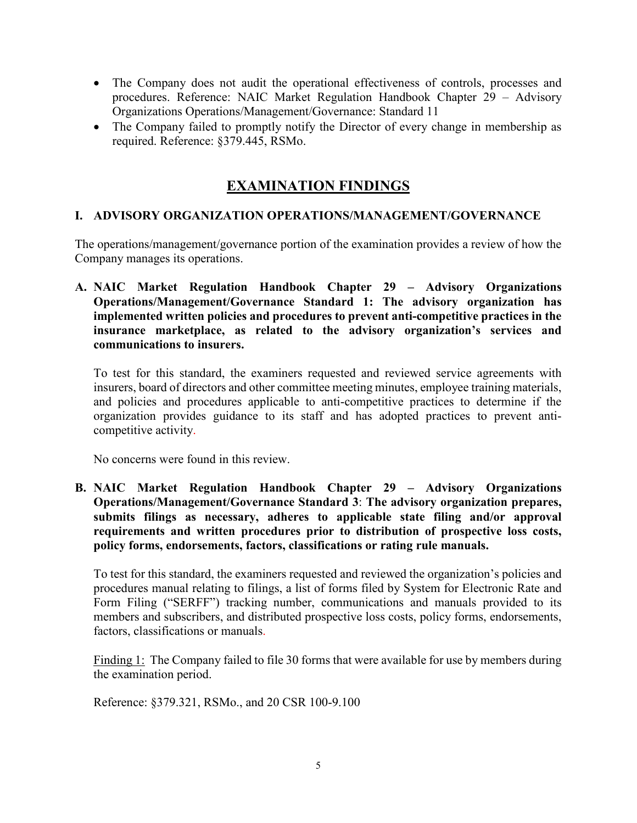- The Company does not audit the operational effectiveness of controls, processes and procedures. Reference: NAIC Market Regulation Handbook Chapter 29 – Advisory Organizations Operations/Management/Governance: Standard 11
- The Company failed to promptly notify the Director of every change in membership as required. Reference: §379.445, RSMo.

## **EXAMINATION FINDINGS**

#### **I. ADVISORY ORGANIZATION OPERATIONS/MANAGEMENT/GOVERNANCE**

The operations/management/governance portion of the examination provides a review of how the Company manages its operations.

**A. NAIC Market Regulation Handbook Chapter 29 – Advisory Organizations Operations/Management/Governance Standard 1: The advisory organization has implemented written policies and procedures to prevent anti-competitive practices in the insurance marketplace, as related to the advisory organization's services and communications to insurers.**

To test for this standard, the examiners requested and reviewed service agreements with insurers, board of directors and other committee meeting minutes, employee training materials, and policies and procedures applicable to anti-competitive practices to determine if the organization provides guidance to its staff and has adopted practices to prevent anticompetitive activity.

No concerns were found in this review.

**B. NAIC Market Regulation Handbook Chapter 29 – Advisory Organizations Operations/Management/Governance Standard 3**: **The advisory organization prepares, submits filings as necessary, adheres to applicable state filing and/or approval requirements and written procedures prior to distribution of prospective loss costs, policy forms, endorsements, factors, classifications or rating rule manuals.**

To test for this standard, the examiners requested and reviewed the organization's policies and procedures manual relating to filings, a list of forms filed by System for Electronic Rate and Form Filing ("SERFF") tracking number, communications and manuals provided to its members and subscribers, and distributed prospective loss costs, policy forms, endorsements, factors, classifications or manuals.

Finding 1: The Company failed to file 30 forms that were available for use by members during the examination period.

Reference: §379.321, RSMo., and 20 CSR 100-9.100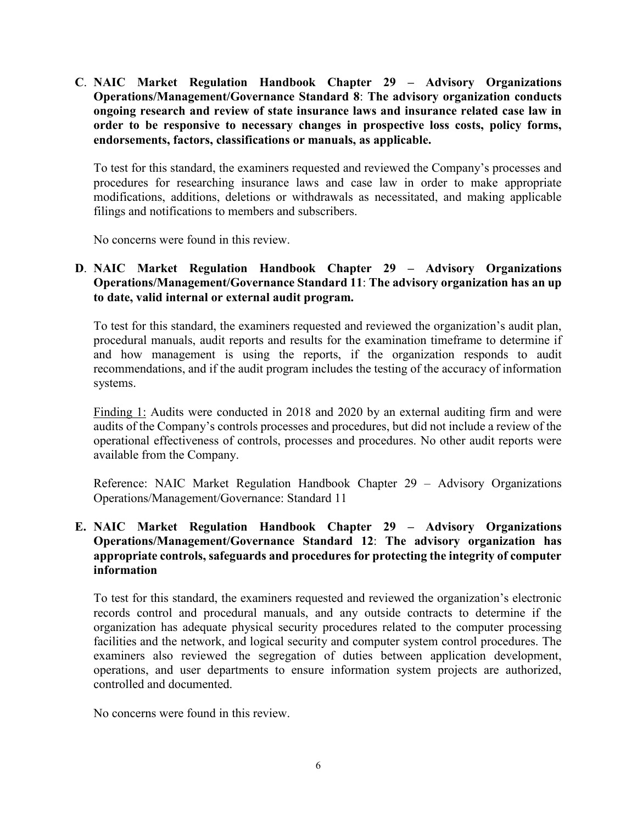**C**. **NAIC Market Regulation Handbook Chapter 29 – Advisory Organizations Operations/Management/Governance Standard 8**: **The advisory organization conducts ongoing research and review of state insurance laws and insurance related case law in order to be responsive to necessary changes in prospective loss costs, policy forms, endorsements, factors, classifications or manuals, as applicable.**

To test for this standard, the examiners requested and reviewed the Company's processes and procedures for researching insurance laws and case law in order to make appropriate modifications, additions, deletions or withdrawals as necessitated, and making applicable filings and notifications to members and subscribers.

No concerns were found in this review.

#### **D**. **NAIC Market Regulation Handbook Chapter 29 – Advisory Organizations Operations/Management/Governance Standard 11**: **The advisory organization has an up to date, valid internal or external audit program.**

To test for this standard, the examiners requested and reviewed the organization's audit plan, procedural manuals, audit reports and results for the examination timeframe to determine if and how management is using the reports, if the organization responds to audit recommendations, and if the audit program includes the testing of the accuracy of information systems.

Finding 1: Audits were conducted in 2018 and 2020 by an external auditing firm and were audits of the Company's controls processes and procedures, but did not include a review of the operational effectiveness of controls, processes and procedures. No other audit reports were available from the Company.

Reference: NAIC Market Regulation Handbook Chapter 29 – Advisory Organizations Operations/Management/Governance: Standard 11

#### **E. NAIC Market Regulation Handbook Chapter 29 – Advisory Organizations Operations/Management/Governance Standard 12**: **The advisory organization has appropriate controls, safeguards and procedures for protecting the integrity of computer information**

To test for this standard, the examiners requested and reviewed the organization's electronic records control and procedural manuals, and any outside contracts to determine if the organization has adequate physical security procedures related to the computer processing facilities and the network, and logical security and computer system control procedures. The examiners also reviewed the segregation of duties between application development, operations, and user departments to ensure information system projects are authorized, controlled and documented.

No concerns were found in this review.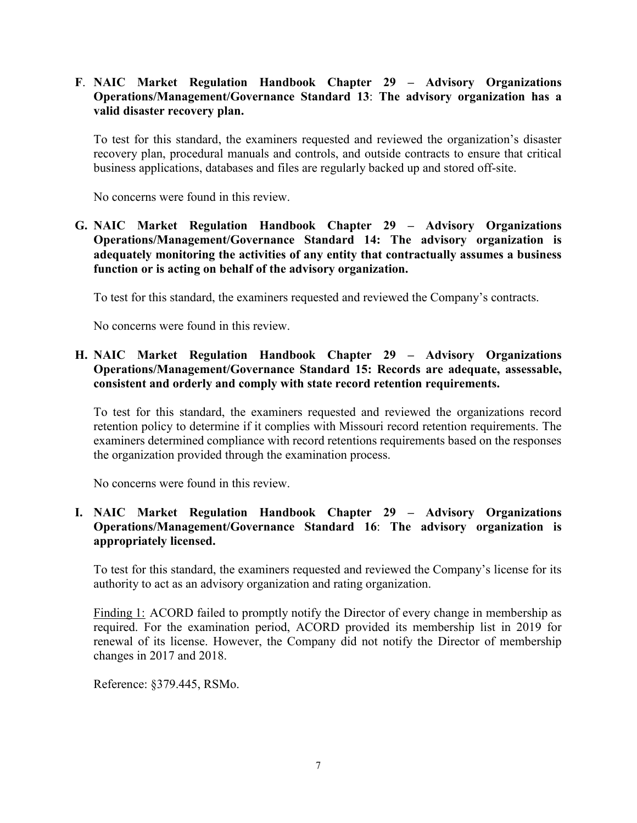**F**. **NAIC Market Regulation Handbook Chapter 29 – Advisory Organizations Operations/Management/Governance Standard 13**: **The advisory organization has a valid disaster recovery plan.** 

To test for this standard, the examiners requested and reviewed the organization's disaster recovery plan, procedural manuals and controls, and outside contracts to ensure that critical business applications, databases and files are regularly backed up and stored off-site.

No concerns were found in this review.

**G. NAIC Market Regulation Handbook Chapter 29 – Advisory Organizations Operations/Management/Governance Standard 14: The advisory organization is adequately monitoring the activities of any entity that contractually assumes a business function or is acting on behalf of the advisory organization.**

To test for this standard, the examiners requested and reviewed the Company's contracts.

No concerns were found in this review.

#### **H. NAIC Market Regulation Handbook Chapter 29 – Advisory Organizations Operations/Management/Governance Standard 15: Records are adequate, assessable, consistent and orderly and comply with state record retention requirements.**

To test for this standard, the examiners requested and reviewed the organizations record retention policy to determine if it complies with Missouri record retention requirements. The examiners determined compliance with record retentions requirements based on the responses the organization provided through the examination process.

No concerns were found in this review.

#### **I. NAIC Market Regulation Handbook Chapter 29 – Advisory Organizations Operations/Management/Governance Standard 16**: **The advisory organization is appropriately licensed.**

To test for this standard, the examiners requested and reviewed the Company's license for its authority to act as an advisory organization and rating organization.

Finding 1: ACORD failed to promptly notify the Director of every change in membership as required. For the examination period, ACORD provided its membership list in 2019 for renewal of its license. However, the Company did not notify the Director of membership changes in 2017 and 2018.

Reference: §379.445, RSMo.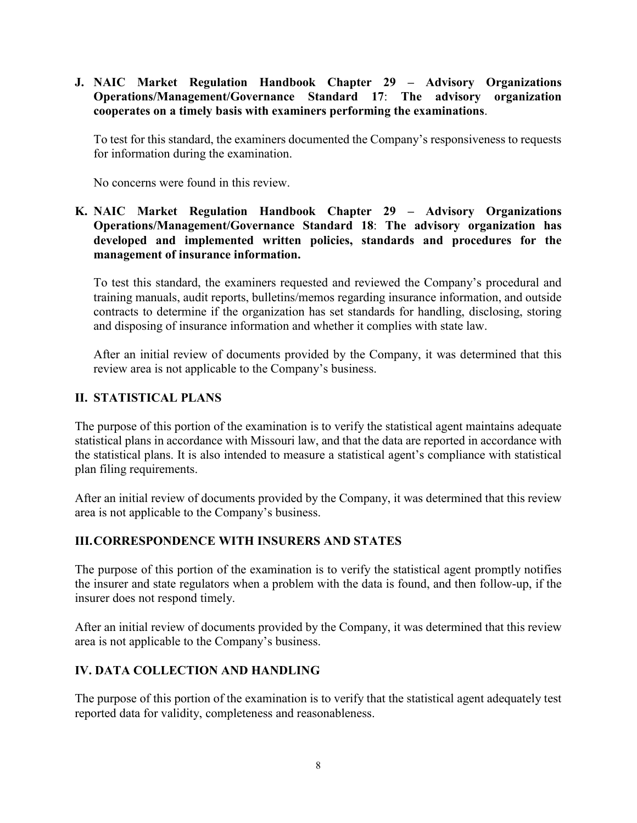#### **J. NAIC Market Regulation Handbook Chapter 29 – Advisory Organizations Operations/Management/Governance Standard 17**: **The advisory organization cooperates on a timely basis with examiners performing the examinations**.

To test for this standard, the examiners documented the Company's responsiveness to requests for information during the examination.

No concerns were found in this review.

#### **K. NAIC Market Regulation Handbook Chapter 29 – Advisory Organizations Operations/Management/Governance Standard 18**: **The advisory organization has developed and implemented written policies, standards and procedures for the management of insurance information.**

To test this standard, the examiners requested and reviewed the Company's procedural and training manuals, audit reports, bulletins/memos regarding insurance information, and outside contracts to determine if the organization has set standards for handling, disclosing, storing and disposing of insurance information and whether it complies with state law.

After an initial review of documents provided by the Company, it was determined that this review area is not applicable to the Company's business.

#### **II. STATISTICAL PLANS**

The purpose of this portion of the examination is to verify the statistical agent maintains adequate statistical plans in accordance with Missouri law, and that the data are reported in accordance with the statistical plans. It is also intended to measure a statistical agent's compliance with statistical plan filing requirements.

After an initial review of documents provided by the Company, it was determined that this review area is not applicable to the Company's business.

#### **III.CORRESPONDENCE WITH INSURERS AND STATES**

The purpose of this portion of the examination is to verify the statistical agent promptly notifies the insurer and state regulators when a problem with the data is found, and then follow-up, if the insurer does not respond timely.

After an initial review of documents provided by the Company, it was determined that this review area is not applicable to the Company's business.

### **IV. DATA COLLECTION AND HANDLING**

The purpose of this portion of the examination is to verify that the statistical agent adequately test reported data for validity, completeness and reasonableness.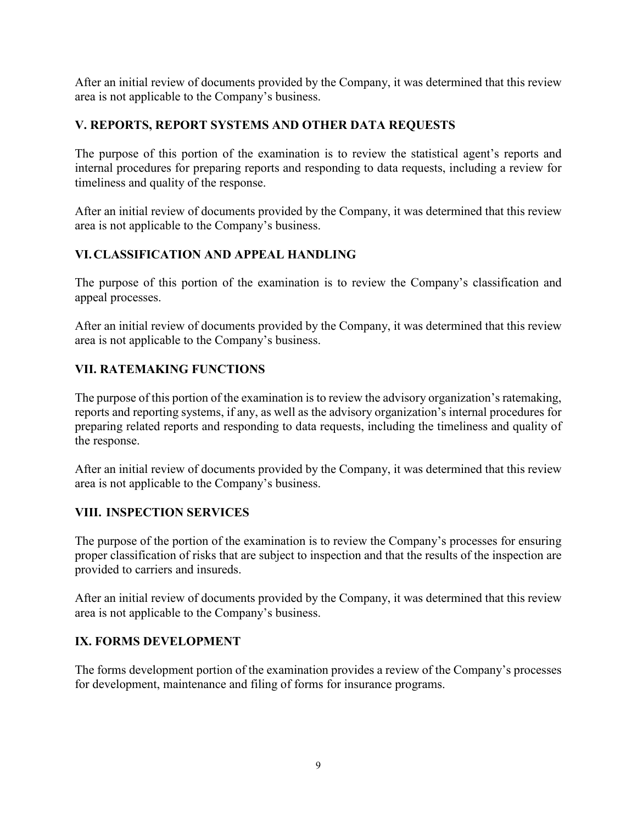After an initial review of documents provided by the Company, it was determined that this review area is not applicable to the Company's business.

#### **V. REPORTS, REPORT SYSTEMS AND OTHER DATA REQUESTS**

The purpose of this portion of the examination is to review the statistical agent's reports and internal procedures for preparing reports and responding to data requests, including a review for timeliness and quality of the response.

After an initial review of documents provided by the Company, it was determined that this review area is not applicable to the Company's business.

### **VI.CLASSIFICATION AND APPEAL HANDLING**

The purpose of this portion of the examination is to review the Company's classification and appeal processes.

After an initial review of documents provided by the Company, it was determined that this review area is not applicable to the Company's business.

### **VII. RATEMAKING FUNCTIONS**

The purpose of this portion of the examination is to review the advisory organization's ratemaking, reports and reporting systems, if any, as well as the advisory organization's internal procedures for preparing related reports and responding to data requests, including the timeliness and quality of the response.

After an initial review of documents provided by the Company, it was determined that this review area is not applicable to the Company's business.

#### **VIII. INSPECTION SERVICES**

The purpose of the portion of the examination is to review the Company's processes for ensuring proper classification of risks that are subject to inspection and that the results of the inspection are provided to carriers and insureds.

After an initial review of documents provided by the Company, it was determined that this review area is not applicable to the Company's business.

#### **IX. FORMS DEVELOPMENT**

The forms development portion of the examination provides a review of the Company's processes for development, maintenance and filing of forms for insurance programs.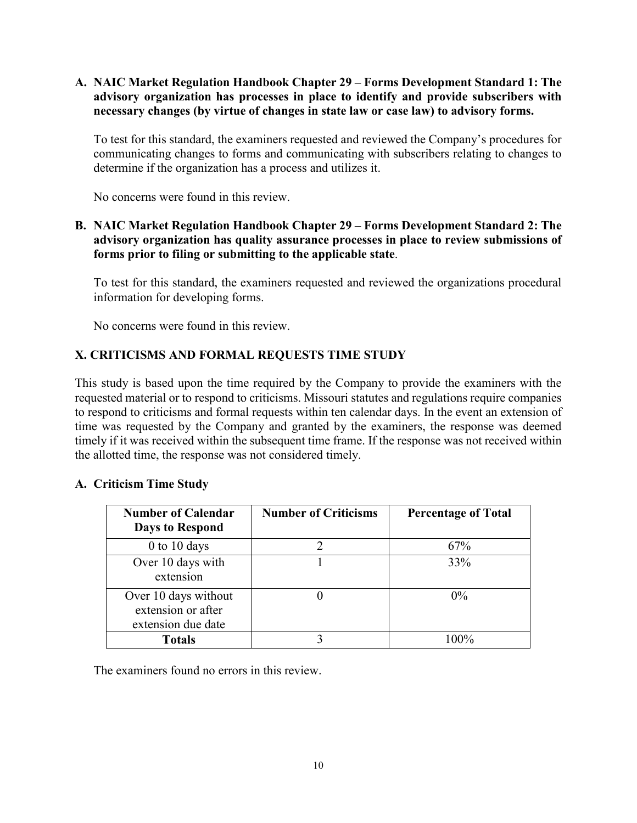**A. NAIC Market Regulation Handbook Chapter 29 – Forms Development Standard 1: The advisory organization has processes in place to identify and provide subscribers with necessary changes (by virtue of changes in state law or case law) to advisory forms.**

To test for this standard, the examiners requested and reviewed the Company's procedures for communicating changes to forms and communicating with subscribers relating to changes to determine if the organization has a process and utilizes it.

No concerns were found in this review.

#### **B. NAIC Market Regulation Handbook Chapter 29 – Forms Development Standard 2: The advisory organization has quality assurance processes in place to review submissions of forms prior to filing or submitting to the applicable state**.

To test for this standard, the examiners requested and reviewed the organizations procedural information for developing forms.

No concerns were found in this review.

#### **X. CRITICISMS AND FORMAL REQUESTS TIME STUDY**

This study is based upon the time required by the Company to provide the examiners with the requested material or to respond to criticisms. Missouri statutes and regulations require companies to respond to criticisms and formal requests within ten calendar days. In the event an extension of time was requested by the Company and granted by the examiners, the response was deemed timely if it was received within the subsequent time frame. If the response was not received within the allotted time, the response was not considered timely.

#### **A. Criticism Time Study**

| <b>Number of Calendar</b><br><b>Days to Respond</b>              | <b>Number of Criticisms</b> | <b>Percentage of Total</b> |
|------------------------------------------------------------------|-----------------------------|----------------------------|
| $0$ to 10 days                                                   |                             | 67%                        |
| Over 10 days with<br>extension                                   |                             | 33%                        |
| Over 10 days without<br>extension or after<br>extension due date |                             | $0\%$                      |
| <b>Totals</b>                                                    |                             | $100\%$                    |

The examiners found no errors in this review.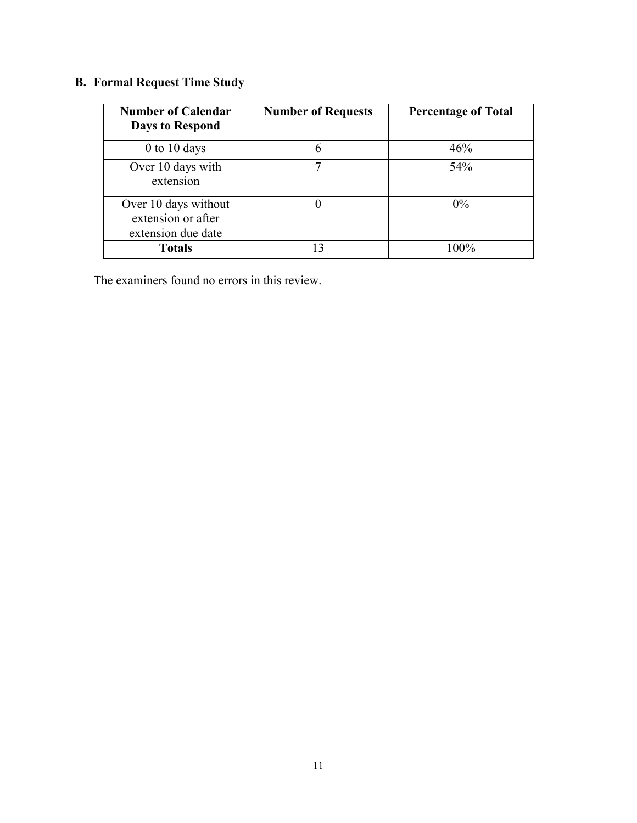# **B. Formal Request Time Study**

| <b>Number of Calendar</b><br><b>Days to Respond</b>              | <b>Number of Requests</b> | <b>Percentage of Total</b> |
|------------------------------------------------------------------|---------------------------|----------------------------|
| $0$ to 10 days                                                   |                           | 46%                        |
| Over 10 days with<br>extension                                   |                           | 54%                        |
| Over 10 days without<br>extension or after<br>extension due date |                           | $0\%$                      |
| <b>Totals</b>                                                    | 13                        | 100%                       |

The examiners found no errors in this review.